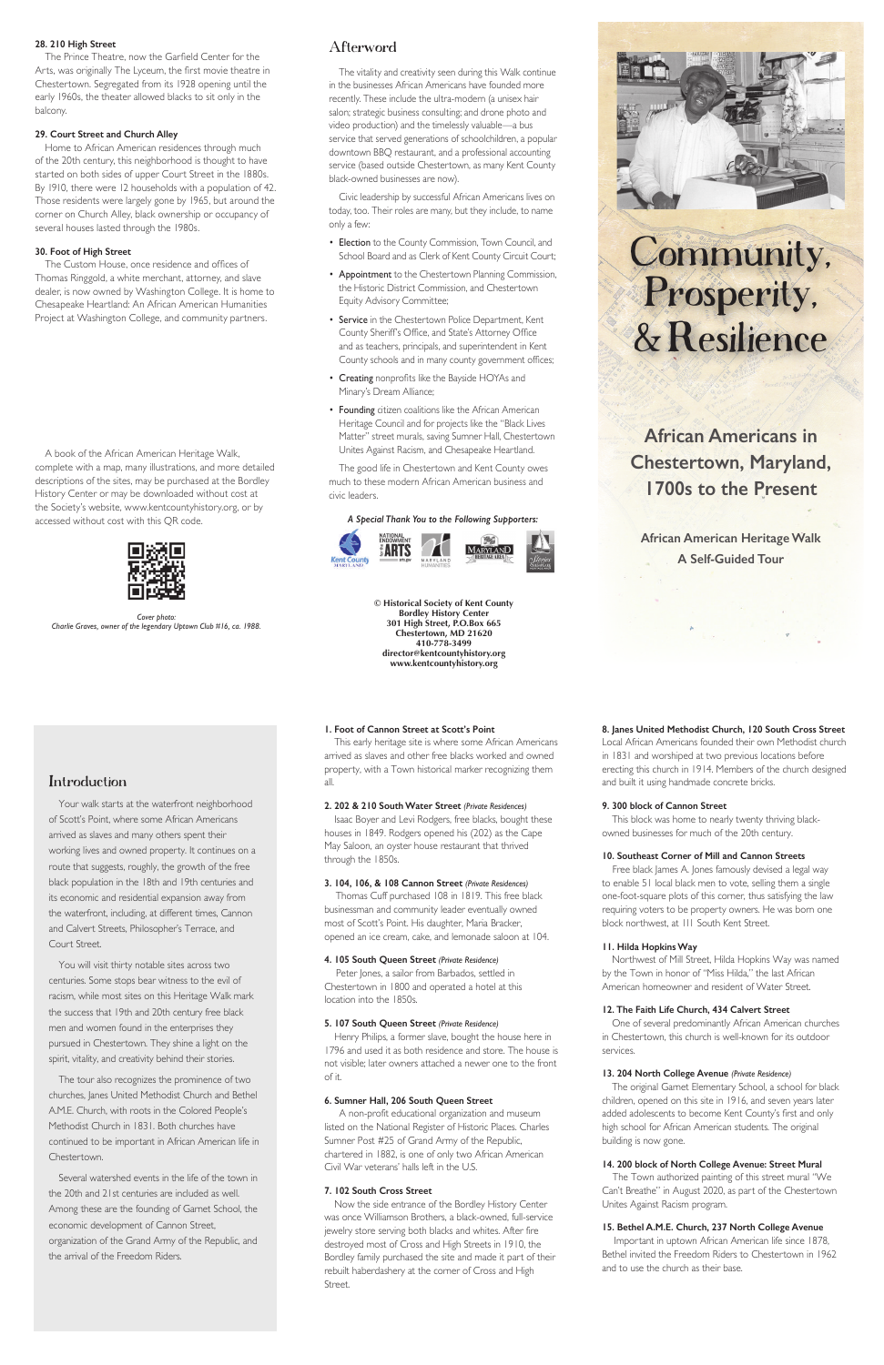# Community, Prosperity, & Resilience

**African Americans in Chestertown, Maryland, 1700s to the Present**

**African American Heritage Walk A Self-Guided Tour**

**© Historical Society of Kent County Bordley History Center 301 High Street, P.O.Box 665 Chestertown, MD 21620 410-778-3499 director@kentcountyhistory.org www.kentcountyhistory.org**



#### *A Special Thank You to the Following Supporters:*



# **1. Foot of Cannon Street at Scott's Point**

This early heritage site is where some African Americans arrived as slaves and other free blacks worked and owned property, with a Town historical marker recognizing them all.

# **2. 202 & 210 South Water Street** *(Private Residences)*

Isaac Boyer and Levi Rodgers, free blacks, bought these houses in 1849. Rodgers opened his (202) as the Cape May Saloon, an oyster house restaurant that thrived through the 1850s.

#### **3. 104, 106, & 108 Cannon Street** *(Private Residences)*

Thomas Cuff purchased 108 in 1819. This free black businessman and community leader eventually owned most of Scott's Point. His daughter, Maria Bracker, opened an ice cream, cake, and lemonade saloon at 104.

# **4. 105 South Queen Street** *(Private Residence)*

Peter Jones, a sailor from Barbados, settled in Chestertown in 1800 and operated a hotel at this location into the 1850s.

#### **5. 107 South Queen Street** *(Private Residence)*

Henry Philips, a former slave, bought the house here in 1796 and used it as both residence and store. The house is not visible; later owners attached a newer one to the front of it.

#### **6. Sumner Hall, 206 South Queen Street**

A non-profit educational organization and museum listed on the National Register of Historic Places. Charles Sumner Post #25 of Grand Army of the Republic, chartered in 1882, is one of only two African American Civil War veterans' halls left in the U.S.

# **7. 102 South Cross Street**

Now the side entrance of the Bordley History Center was once Williamson Brothers, a black-owned, full-service jewelry store serving both blacks and whites. After fire destroyed most of Cross and High Streets in 1910, the Bordley family purchased the site and made it part of their rebuilt haberdashery at the corner of Cross and High Street.

Free black James A. Jones famously devised a legal way to enable 51 local black men to vote, selling them a single one-foot-square plots of this corner, thus satisfying the law requiring voters to be property owners. He was born one block northwest, at 111 South Kent Street.

# Introduction

Your walk starts at the waterfront neighborhood of Scott's Point, where some African Americans arrived as slaves and many others spent their working lives and owned property. It continues on a route that suggests, roughly, the growth of the free black population in the 18th and 19th centuries and its economic and residential expansion away from the waterfront, including, at different times, Cannon and Calvert Streets, Philosopher's Terrace, and Court Street.

You will visit thirty notable sites across two centuries. Some stops bear witness to the evil of racism, while most sites on this Heritage Walk mark

the success that 19th and 20th century free black men and women found in the enterprises they pursued in Chestertown. They shine a light on the spirit, vitality, and creativity behind their stories.

The tour also recognizes the prominence of two churches, Janes United Methodist Church and Bethel A.M.E. Church, with roots in the Colored People's Methodist Church in 1831. Both churches have continued to be important in African American life in Chestertown.

Several watershed events in the life of the town in the 20th and 21st centuries are included as well. Among these are the founding of Garnet School, the economic development of Cannon Street, organization of the Grand Army of the Republic, and the arrival of the Freedom Riders.

#### **8. Janes United Methodist Church, 120 South Cross Street**

Local African Americans founded their own Methodist church in 1831 and worshiped at two previous locations before erecting this church in 1914. Members of the church designed and built it using handmade concrete bricks.

#### **9. 300 block of Cannon Street**

This block was home to nearly twenty thriving blackowned businesses for much of the 20th century.

### **10. Southeast Corner of Mill and Cannon Streets**

#### **11. Hilda Hopkins Way**

Northwest of Mill Street, Hilda Hopkins Way was named by the Town in honor of "Miss Hilda," the last African American homeowner and resident of Water Street.

#### **12. The Faith Life Church, 434 Calvert Street**

One of several predominantly African American churches in Chestertown, this church is well-known for its outdoor services.

#### **13. 204 North College Avenue** *(Private Residence)*

The original Garnet Elementary School, a school for black children, opened on this site in 1916, and seven years later added adolescents to become Kent County's first and only high school for African American students. The original building is now gone.

# **14. 200 block of North College Avenue: Street Mural**

The Town authorized painting of this street mural "We Can't Breathe" in August 2020, as part of the Chestertown Unites Against Racism program.

# **15. Bethel A.M.E. Church, 237 North College Avenue**

Important in uptown African American life since 1878, Bethel invited the Freedom Riders to Chestertown in 1962 and to use the church as their base.

# **28. 210 High Street**

The Prince Theatre, now the Garfield Center for the Arts, was originally The Lyceum, the first movie theatre in Chestertown. Segregated from its 1928 opening until the early 1960s, the theater allowed blacks to sit only in the balcony.

# **29. Court Street and Church Alley**

Home to African American residences through much of the 20th century, this neighborhood is thought to have started on both sides of upper Court Street in the 1880s. By 1910, there were 12 households with a population of 42. Those residents were largely gone by 1965, but around the corner on Church Alley, black ownership or occupancy of several houses lasted through the 1980s.

#### **30. Foot of High Street**

The Custom House, once residence and offices of Thomas Ringgold, a white merchant, attorney, and slave dealer, is now owned by Washington College. It is home to Chesapeake Heartland: An African American Humanities Project at Washington College, and community partners.

# Afterword

The vitality and creativity seen during this Walk continue in the businesses African Americans have founded more recently. These include the ultra-modern (a unisex hair salon; strategic business consulting; and drone photo and video production) and the timelessly valuable—a bus service that served generations of schoolchildren, a popular downtown BBQ restaurant, and a professional accounting service (based outside Chestertown, as many Kent County black-owned businesses are now).

Civic leadership by successful African Americans lives on today, too. Their roles are many, but they include, to name only a few:

- Election to the County Commission, Town Council, and School Board and as Clerk of Kent County Circuit Court;
- Appointment to the Chestertown Planning Commission, the Historic District Commission, and Chestertown Equity Advisory Committee;
- Service in the Chestertown Police Department, Kent County Sheriff's Office, and State's Attorney Office and as teachers, principals, and superintendent in Kent County schools and in many county government offices;
- Creating nonprofits like the Bayside HOYAs and Minary's Dream Alliance;
- Founding citizen coalitions like the African American Heritage Council and for projects like the "Black Lives Matter" street murals, saving Sumner Hall, Chestertown Unites Against Racism, and Chesapeake Heartland.

The good life in Chestertown and Kent County owes much to these modern African American business and civic leaders.

*Cover photo: Charlie Graves, owner of the legendary Uptown Club #16, ca. 1988.* 

A book of the African American Heritage Walk, complete with a map, many illustrations, and more detailed descriptions of the sites, may be purchased at the Bordley History Center or may be downloaded without cost at the Society's website, www.kentcountyhistory.org, or by accessed without cost with this QR code.